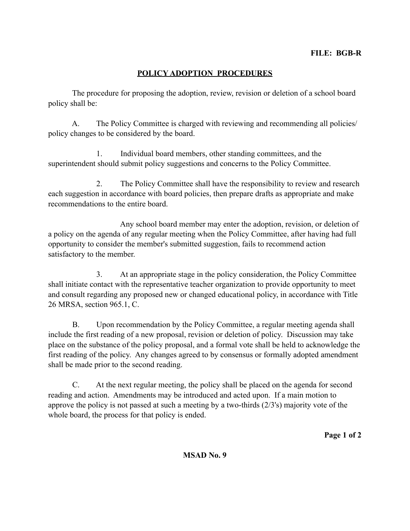## **POLICY ADOPTION PROCEDURES**

 The procedure for proposing the adoption, review, revision or deletion of a school board policy shall be:

 A. The Policy Committee is charged with reviewing and recommending all policies/ policy changes to be considered by the board.

 1. Individual board members, other standing committees, and the superintendent should submit policy suggestions and concerns to the Policy Committee.

 2. The Policy Committee shall have the responsibility to review and research each suggestion in accordance with board policies, then prepare drafts as appropriate and make recommendations to the entire board.

 Any school board member may enter the adoption, revision, or deletion of a policy on the agenda of any regular meeting when the Policy Committee, after having had full opportunity to consider the member's submitted suggestion, fails to recommend action satisfactory to the member.

 3. At an appropriate stage in the policy consideration, the Policy Committee shall initiate contact with the representative teacher organization to provide opportunity to meet and consult regarding any proposed new or changed educational policy, in accordance with Title 26 MRSA, section 965.1, C.

 B. Upon recommendation by the Policy Committee, a regular meeting agenda shall include the first reading of a new proposal, revision or deletion of policy. Discussion may take place on the substance of the policy proposal, and a formal vote shall be held to acknowledge the first reading of the policy. Any changes agreed to by consensus or formally adopted amendment shall be made prior to the second reading.

 C. At the next regular meeting, the policy shall be placed on the agenda for second reading and action. Amendments may be introduced and acted upon. If a main motion to approve the policy is not passed at such a meeting by a two-thirds (2/3's) majority vote of the whole board, the process for that policy is ended.

**Page 1 of 2**

**MSAD No. 9**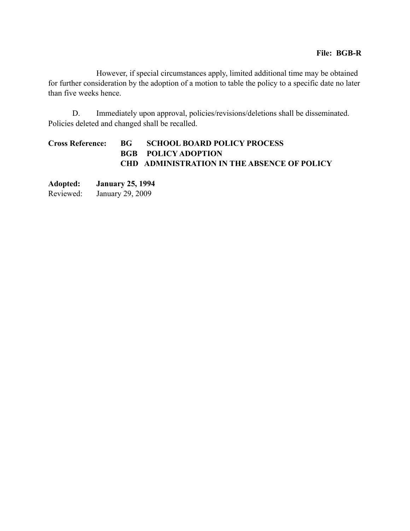However, if special circumstances apply, limited additional time may be obtained for further consideration by the adoption of a motion to table the policy to a specific date no later than five weeks hence.

 D. Immediately upon approval, policies/revisions/deletions shall be disseminated. Policies deleted and changed shall be recalled.

## **Cross Reference: BG SCHOOL BOARD POLICY PROCESS BGB POLICY ADOPTION CHD ADMINISTRATION IN THE ABSENCE OF POLICY**

**Adopted: January 25, 1994** Reviewed: January 29, 2009